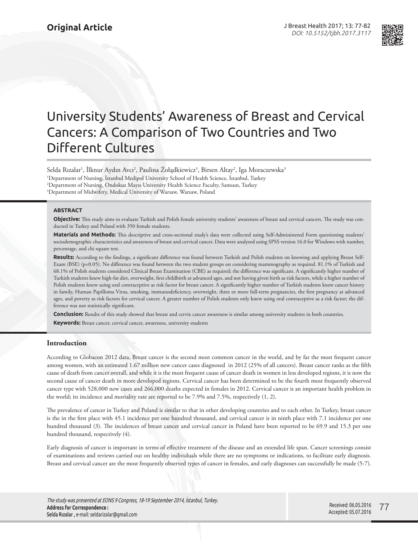

# University Students' Awareness of Breast and Cervical Cancers: A Comparison of Two Countries and Two Different Cultures

Selda Rızalar<sup>ı</sup>, İlknur Aydın Avcı<sup>2</sup>, Paulina Żołądkiewicz<sup>3</sup>, Birsen Altay<sup>2</sup>, Iga Moraczewska<sup>3</sup> 1 Department of Nursing, İstanbul Medipol University School of Health Science, İstanbul, Turkey 2 Department of Nursing, Ondokuz Mayıs University Health Science Faculty, Samsun, Turkey  $^3$ Department of Midwifery, Medical University of Warsaw, Warsaw, Poland

## **ABSTRACT**

**Objective:** This study aims to evaluate Turkish and Polish female university students' awareness of breast and cervical cancers. The study was conducted in Turkey and Poland with 350 female students.

**Materials and Methods:** This descriptive and cross-sectional study's data were collected using Self-Administered Form questioning students' sociodemographic characteristics and awareness of breast and cervical cancer. Data were analysed using SPSS version 16.0 for Windows with number, percentage, and chi square test.

**Results:** According to the findings, a significant difference was found between Turkish and Polish students on knowing and applying Breast Self-Exam (BSE) (p<0.05). No difference was found between the two student groups on considering mammography as required. 81.1% of Turkish and 68.1% of Polish students considered Clinical Breast Examination (CBE) as required; the difference was significant. A significantly higher number of Turkish students knew high-fat diet, overweight, first childbirth at advanced ages, and not having given birth as risk factors, while a higher number of Polish students knew using oral contraceptive as risk factor for breast cancer. A significantly higher number of Turkish students knew cancer history in family, Human Papilloma Virus, smoking, immunodeficiency, overweight, three or more full-term pregnancies, the first pregnancy at advanced ages, and poverty as risk factors for cervical cancer. A greater number of Polish students only knew using oral contraceptive as a risk factor; the difference was not statistically significant.

**Conclusion:** Results of this study showed that breast and cervix cancer awareness is similar among university students in both countries.

**Keywords:** Breast cancer, cervical cancer, awareness, university students

# **Introduction**

According to Globacon 2012 data, Breast cancer is the second most common cancer in the world, and by far the most frequent cancer among women, with an estimated 1.67 million new cancer cases diagnosed in 2012 (25% of all cancers). Breast cancer ranks as the fifth cause of death from cancer overall, and while it is the most frequent cause of cancer death in women in less developed regions, it is now the second cause of cancer death in more developed regions. Cervical cancer has been determined to be the fourth most frequently observed cancer type with 528,000 new cases and 266,000 deaths expected in females in 2012. Cervical cancer is an important health problem in the world; its incidence and mortality rate are reported to be 7.9% and 7.5%, respectively (1, 2).

The prevalence of cancer in Turkey and Poland is similar to that in other developing countries and to each other. In Turkey, breast cancer is the in the first place with 45.1 incidence per one hundred thousand, and cervical cancer is in ninth place with 7.1 incidence per one hundred thousand (3). The incidences of breast cancer and cervical cancer in Poland have been reported to be 69.9 and 15.3 per one hundred thousand, respectively (4).

Early diagnosis of cancer is important in terms of effective treatment of the disease and an extended life span. Cancer screenings consist of examinations and reviews carried out on healthy individuals while there are no symptoms or indications, to facilitate early diagnosis. Breast and cervical cancer are the most frequently observed types of cancer in females, and early diagnoses can successfully be made (5-7).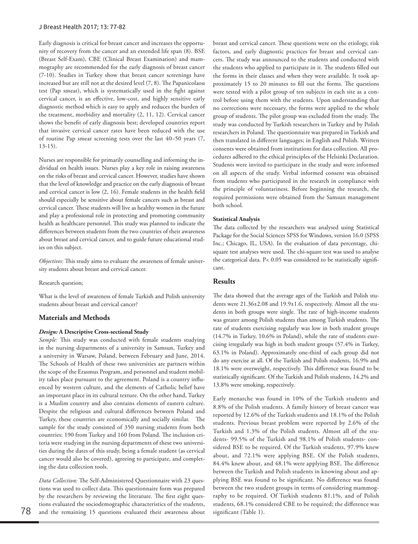#### J Breast Health 2017; 13: 77-82

Early diagnosis is critical for breast cancer and increases the opportunity of recovery from the cancer and an extended life span (8). BSE (Breast Self-Exam), CBE (Clinical Breast Examination) and mammography are recommended for the early diagnosis of breast cancer (7-10). Studies in Turkey show that breast cancer screenings have increased but are still not at the desired level (7, 8). The Papanicolaou test (Pap smear), which is systematically used in the fight against cervical cancer, is an effective, low-cost, and highly sensitive early diagnostic method which is easy to apply and reduces the burden of the treatment, morbidity and mortality (2, 11, 12). Cervical cancer shows the benefit of early diagnosis best; developed countries report that invasive cervical cancer rates have been reduced with the use of routine Pap smear screening tests over the last 40–50 years (7, 13-15).

Nurses are responsible for primarily counselling and informing the individual on health issues. Nurses play a key role in raising awareness on the risks of breast and cervical cancer. However, studies have shown that the level of knowledge and practice on the early diagnosis of breast and cervical cancer is low (2, 16). Female students in the health field should especially be sensitive about female cancers such as breast and cervical cancer. These students will live as healthy women in the future and play a professional role in protecting and promoting community health as healthcare personnel. This study was planned to indicate the differences between students from the two countries of their awareness about breast and cervical cancer, and to guide future educational studies on this subject.

*Objectives:* This study aims to evaluate the awareness of female university students about breast and cervical cancer.

#### Research question;

What is the level of awareness of female Turkish and Polish university students about breast and cervical cancer?

# **Materials and Methods**

## *Design:* **A Descriptive Cross-sectional Study**

*Sample:* This study was conducted with female students studying in the nursing departments of a university in Samsun, Turkey and a university in Warsaw, Poland, between February and June, 2014. The Schools of Health of these two universities are partners within the scope of the Erasmus Program, and personnel and student mobility takes place pursuant to the agreement. Poland is a country influenced by western culture, and the elements of Catholic belief have an important place in its cultural texture. On the other hand, Turkey is a Muslim country and also contains elements of eastern culture. Despite the religious and cultural differences between Poland and Turkey, these countries are economically and socially similar. The sample for the study consisted of 350 nursing students from both countries: 190 from Turkey and 160 from Poland. The inclusion criteria were studying in the nursing departments of these two universities during the dates of this study, being a female student (as cervical cancer would also be covered), agreeing to participate, and completing the data collection tools.

*Data Collection:* The Self-Administered Questionnaire with 23 questions was used to collect data. This questionnaire form was prepared by the researchers by reviewing the literature. The first eight questions evaluated the sociodemographic characteristics of the students, 78 and the remaining 15 questions evaluated their awareness about significant (Table 1).

breast and cervical cancer. These questions were on the etiology, risk factors, and early diagnostic practices for breast and cervical cancers. The study was announced to the students and conducted with the students who applied to participate in it. The students filled out the forms in their classes and when they were available. It took approximately 15 to 20 minutes to fill out the forms. The questions were tested with a pilot group of ten subjects in each site as a control before using them with the students. Upon understanding that no corrections were necessary, the forms were applied to the whole group of students. The pilot group was excluded from the study. The study was conducted by Turkish researchers in Turkey and by Polish researchers in Poland. The questionnaire was prepared in Turkish and then translated in different languages; in English and Polish. Written consents were obtained from institutions for data collection. All procedures adhered to the ethical principles of the Helsinki Declaration. Students were invited to participate in the study and were informed on all aspects of the study. Verbal informed consent was obtained from students who participated in the research in compliance with the principle of voluntariness. Before beginning the research, the required permissions were obtained from the Samsun management both school.

### **Statistical Analysis**

The data collected by the researchers was analysed using Statistical Package for the Social Sciences SPSS for Windows, version 16.0 (SPSS Inc.; Chicago, IL, USA). In the evaluation of data percentage, chisquare test analyses were used. The chi-square test was used to analyse the categorical data. P< 0.05 was considered to be statistically significant.

# **Results**

The data showed that the average ages of the Turkish and Polish students were 21.36±2.08 and 19.9±1.6, respectively. Almost all the students in both groups were single. The rate of high-income students was greater among Polish students than among Turkish students. The rate of students exercising regularly was low in both student groups (14.7% in Turkey, 10.6% in Poland), while the rate of students exercising irregularly was high in both student groups (57.4% in Turkey, 63.1% in Poland). Approximately one-third of each group did not do any exercise at all. Of the Turkish and Polish students, 16.9% and 18.1% were overweight, respectively. This difference was found to be statistically significant. Of the Turkish and Polish students, 14.2% and 13.8% were smoking, respectively.

Early menarche was found in 10% of the Turkish students and 8.8% of the Polish students. A family history of breast cancer was reported by 12.6% of the Turkish students and 18.1% of the Polish students. Previous breast problem were reported by 2.6% of the Turkish and 1.3% of the Polish students. Almost all of the students- 99.5% of the Turkish and 98.1% of Polish students- considered BSE to be required. Of the Turkish students, 97.9% knew about, and 72.1% were applying BSE. Of the Polish students, 84.4% knew about, and 48.1% were applying BSE. The difference between the Turkish and Polish students in knowing about and applying BSE was found to be significant. No difference was found between the two student groups in terms of considering mammography to be required. Of Turkish students 81.1%, and of Polish students, 68.1% considered CBE to be required; the difference was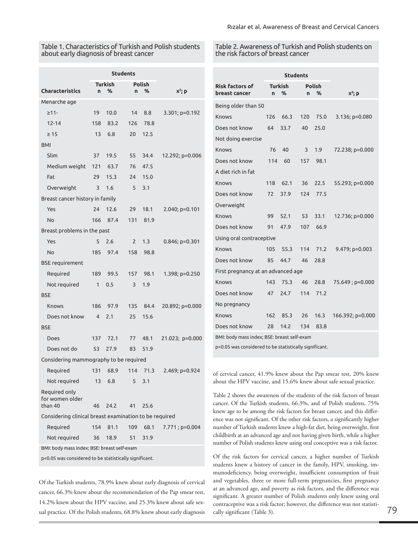# Table 1. Characteristics of Turkish and Polish students about early diagnosis of breast cancer

#### Table 2. Awareness of Turkish and Polish students on the risk factors of breast cancer

|                                                        | <b>Students</b> |                |                |               |                  |                                                                                                                                                         | <b>Students</b> |      |        |      |                  |  |
|--------------------------------------------------------|-----------------|----------------|----------------|---------------|------------------|---------------------------------------------------------------------------------------------------------------------------------------------------------|-----------------|------|--------|------|------------------|--|
|                                                        |                 | <b>Turkish</b> |                | <b>Polish</b> |                  | <b>Risk factors of</b>                                                                                                                                  | <b>Turkish</b>  |      | Polish |      |                  |  |
| <b>Characteristics</b>                                 | n.              | %              | n.             | ℅             | $x^2$ ; p        | breast cancer                                                                                                                                           | n.              | %    | n.     | %    | $X^2$ ; p        |  |
| Menarche age                                           |                 |                |                |               |                  | Being older than 50                                                                                                                                     |                 |      |        |      |                  |  |
| $\geq$ 11-                                             | 19              | 10.0           | 14             | 8.8           | 3.301; p=0.192   | <b>Knows</b>                                                                                                                                            | 126             | 66.3 | 120    | 75.0 | $3.136; p=0.080$ |  |
| $12 - 14$                                              | 158             | 83.2           | 126            | 78.8          |                  | Does not know                                                                                                                                           | 64              | 33.7 | 40     | 25.0 |                  |  |
| $\geq 15$                                              | 13              | 6.8            | 20             | 12.5          |                  | Not doing exercise                                                                                                                                      |                 |      |        |      |                  |  |
| <b>BMI</b>                                             |                 |                |                |               |                  | Knows                                                                                                                                                   | 76              | 40   | 3      | 1.9  | 72.238; p=0.000  |  |
| Slim                                                   | 37              | 19.5           | 55             | 34.4          | 12.292; p=0.006  | Does not know                                                                                                                                           | 114             | 60   | 157    | 98.1 |                  |  |
| Medium weight                                          | 121             | 63.7           | 76             | 47.5          |                  | A diet rich in fat                                                                                                                                      |                 |      |        |      |                  |  |
| Fat                                                    | 29              | 15.3           | 24             | 15.0          |                  | Knows                                                                                                                                                   | 118             | 62.1 | 36     | 22.5 | 55.293; p=0.000  |  |
| Overweight                                             | 3               | 1.6            | 5              | 3.1           |                  | Does not know                                                                                                                                           | 72              | 37.9 | 124    | 77.5 |                  |  |
| Breast cancer history in family                        |                 | Overweight     |                |               |                  |                                                                                                                                                         |                 |      |        |      |                  |  |
| Yes                                                    | 24              | 12.6           | 29             | 18.1          | 2.040; p=0.101   | Knows                                                                                                                                                   | 99              | 52.1 | 53     | 33.1 | 12.736; p=0.000  |  |
| No                                                     | 166             | 87.4           | 131            | 81.9          |                  | Does not know                                                                                                                                           | 91              | 47.9 | 107    | 66.9 |                  |  |
| Breast problems in the past                            |                 |                |                |               |                  | Using oral contraceptive                                                                                                                                |                 |      |        |      |                  |  |
| Yes                                                    | 5               | 2.6            | $\overline{2}$ | 1.3           | $0.846; p=0.301$ |                                                                                                                                                         |                 |      |        |      |                  |  |
| No                                                     | 185             | 97.4           | 158            | 98.8          |                  | Knows                                                                                                                                                   | 105             | 55.3 | 114    | 71.2 | $9.479; p=0.003$ |  |
| <b>BSE</b> requirement                                 |                 |                |                |               |                  | Does not know                                                                                                                                           | 85              | 44.7 | 46     | 28.8 |                  |  |
| Required                                               | 189             | 99.5           | 157            | 98.1          | 1.398; p=0.250   | First pregnancy at an advanced age                                                                                                                      |                 |      |        |      |                  |  |
| Not required                                           | $\mathbf{1}$    | 0.5            | 3              | 1.9           |                  | Knows                                                                                                                                                   | 143             | 75.3 | 46     | 28.8 | 75.649; p=0.000  |  |
| <b>BSE</b>                                             |                 |                |                |               |                  | Does not know                                                                                                                                           | 47              | 24.7 | 114    | 71.2 |                  |  |
| <b>Knows</b>                                           | 186             | 97.9           | 135            | 84.4          | 20.892; p=0.000  | No pregnancy                                                                                                                                            |                 |      |        |      |                  |  |
| Does not know                                          | $\overline{4}$  | 2.1            | 25             | 15.6          |                  | Knows                                                                                                                                                   | 162             | 85.3 | 26     | 16.3 | 166.392; p=0.000 |  |
| <b>BSE</b>                                             |                 |                |                |               |                  | Does not know                                                                                                                                           | 28              | 14.2 | 134    | 83.8 |                  |  |
| Does                                                   | 137             | 72.1           | 77             | 48.1          | 21.023; p=0.000  | BMI: body mass index; BSE: breast self-exam                                                                                                             |                 |      |        |      |                  |  |
| Does not do                                            | 53              | 27.9           | 83             | 51.9          |                  | p<0.05 was considered to be statistically significant.                                                                                                  |                 |      |        |      |                  |  |
| Considering mammography to be required                 |                 |                |                |               |                  |                                                                                                                                                         |                 |      |        |      |                  |  |
| Reauired                                               | 131             | 68.9           |                | 114 71.3      | 2.469; p=0.924   | of cervical cancer, 41.9% knew about the Pap smear test, 20% knew<br>about the HPV vaccine, and 15.6% knew about safe sexual practice.                  |                 |      |        |      |                  |  |
| Not required                                           |                 | 13 6.8         | 5              | 3.1           |                  |                                                                                                                                                         |                 |      |        |      |                  |  |
| Required only<br>for women older<br>than 40            | 46              | 24.2           | 41             | 25.6          |                  | Table 2 shows the awareness of the students of the risk factors of breast<br>cancer. Of the Turkish students, 66.3%, and of Polish students, 75%        |                 |      |        |      |                  |  |
| Considering clinical breast examination to be required |                 |                |                |               |                  | knew age to be among the risk factors for breast cancer, and this differ-                                                                               |                 |      |        |      |                  |  |
| Required                                               |                 | 154 81.1       | 109            | 68.1          | 7.771; p=0.004   | ence was not significant. Of the other risk factors, a significantly higher<br>number of Turkish students knew a high-fat diet, being overweight, first |                 |      |        |      |                  |  |
| Not reguired                                           |                 | 36 18.9        |                | 51 31.9       |                  | childbirth at an advanced age and not having given birth, while a higher                                                                                |                 |      |        |      |                  |  |

BMI: body mass index; BSE: breast self-exam

p<0.05 was considered to be statistically significant.

Of the Turkish students, 78.9% knew about early diagnosis of cervical cancer, 66.3% knew about the recommendation of the Pap smear test, 14.2% knew about the HPV vaccine, and 25.3% knew about safe sexual practice. Of the Polish students, 68.8% knew about early diagnosis

cancer. Of the Turkish students, 66.3%, and of Polish students, 75% knew age to be among the risk factors for breast cancer, and this difference was not significant. Of the other risk factors, a significantly higher number of Turkish students knew a high-fat diet, being overweight, first childbirth at an advanced age and not having given birth, while a higher number of Polish students knew using oral conceptive was a risk factor.

Of the risk factors for cervical cancer, a higher number of Turkish students knew a history of cancer in the family, HPV, smoking, immunodeficiency, being overweight, insufficient consumption of fruit and vegetables, three or more full-term pregnancies, first pregnancy at an advanced age, and poverty as risk factors, and the difference was significant. A greater number of Polish students only knew using oral contraceptive was a risk factor; however, the difference was not statistically significant (Table 3). <sup>79</sup>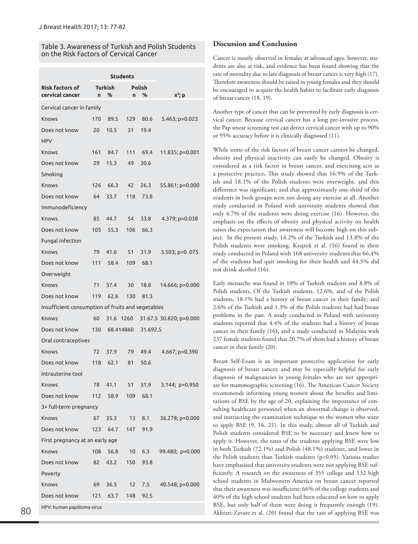# Table 3. Awareness of Turkish and Polish Students on the Risk Factors of Cervical Cancer

|                                                   |     | <b>Students</b> |                 |          |                         |  |  |  |  |  |
|---------------------------------------------------|-----|-----------------|-----------------|----------|-------------------------|--|--|--|--|--|
| <b>Risk factors of</b>                            |     | Turkish         | <b>Polish</b>   |          |                         |  |  |  |  |  |
| cervical cancer                                   | n   | %               | n               | %        | $X^2$ ; p               |  |  |  |  |  |
| Cervical cancer in family                         |     |                 |                 |          |                         |  |  |  |  |  |
| Knows                                             | 170 | 89.5            | 129             | 80.6     | 5.463; $p=0.023$        |  |  |  |  |  |
| Does not know                                     | 20  | 10.5            | 31              | 19.4     |                         |  |  |  |  |  |
| <b>HPV</b>                                        |     |                 |                 |          |                         |  |  |  |  |  |
| Knows                                             | 161 | 84.7            | 111             | 69.4     | 11.835; p=0.001         |  |  |  |  |  |
| Does not know                                     | 29  | 15.3            | 49              | 30.6     |                         |  |  |  |  |  |
| Smoking                                           |     |                 |                 |          |                         |  |  |  |  |  |
| Knows                                             | 126 | 66.3            | 42              | 26.3     | 55.861; p=0.000         |  |  |  |  |  |
| Does not know                                     | 64  | 33.7            | 118             | 73.8     |                         |  |  |  |  |  |
| Immunodeficiency                                  |     |                 |                 |          |                         |  |  |  |  |  |
| Knows                                             | 85  | 44.7            | 54              | 33.8     | 4.379; p=0.038          |  |  |  |  |  |
| Does not know                                     | 105 | 55.3            | 106             | 66.3     |                         |  |  |  |  |  |
| Fungal infection                                  |     |                 |                 |          |                         |  |  |  |  |  |
| Knows                                             | 79  | 41.6            | 51              | 31.9     | $3.503$ ; $p=0.075$     |  |  |  |  |  |
| Does not know                                     |     | 111 58.4        | 109             | 68.1     |                         |  |  |  |  |  |
| Overweight                                        |     |                 |                 |          |                         |  |  |  |  |  |
| Knows                                             | 71  | 37.4            | 30              | 18.8     | 14.666; p=0.000         |  |  |  |  |  |
| Does not know                                     |     | 119 62.6        | 130             | 81.3     |                         |  |  |  |  |  |
| Insufficient consumption of fruits and vegetables |     |                 |                 |          |                         |  |  |  |  |  |
| Knows                                             | 60  | 31.6 1260       |                 |          | 31.67.5 30.820; p=0.000 |  |  |  |  |  |
| Does not know                                     |     | 130 68.414860   |                 | 31.692.5 |                         |  |  |  |  |  |
| Oral contraceptives                               |     |                 |                 |          |                         |  |  |  |  |  |
| Knows                                             | 72  | 37.9            | 79              | 49.4     | 4.667; p=0.390          |  |  |  |  |  |
| Does not know                                     | 118 | 62.1            | 81              | 50.6     |                         |  |  |  |  |  |
| Intrauterine tool                                 |     |                 |                 |          |                         |  |  |  |  |  |
| Knows                                             | 78  | 41.1            | 51              | 31.9     | $3.144; p=0.950$        |  |  |  |  |  |
| Does not know                                     | 112 | 58.9            | 109             | 68.1     |                         |  |  |  |  |  |
| 3+ full-term pregnancy                            |     |                 |                 |          |                         |  |  |  |  |  |
| Knows                                             | 67  | 35.3            | 13              | 8.1      | 36.278; p=0.000         |  |  |  |  |  |
| Does not know                                     | 123 | 64.7            | 147             | 91.9     |                         |  |  |  |  |  |
| First pregnancy at an early age                   |     |                 |                 |          |                         |  |  |  |  |  |
| Knows                                             | 108 | 56.8            | 10 <sup>°</sup> | 6.3      | 99.480; p=0.000         |  |  |  |  |  |
| Does not know                                     | 82  | 43.2            | 150             | 93.8     |                         |  |  |  |  |  |
| Poverty                                           |     |                 |                 |          |                         |  |  |  |  |  |
| Knows                                             | 69  | 36.3            | 12 <sup>2</sup> | 7.5      | 40.548; p=0.000         |  |  |  |  |  |
| Does not know                                     | 121 | 63.7            | 148             | 92.5     |                         |  |  |  |  |  |
| HPV: human papilloma virus                        |     |                 |                 |          |                         |  |  |  |  |  |

# **Discussion and Conclusion**

Cancer is mostly observed in females at advanced ages; however, students are also at risk, and evidence has been found showing that the rate of mortality due to late diagnosis of breast cancer is very high (17). Therefore awareness should be raised in young females and they should be encouraged to acquire the health habits to facilitate early diagnosis of breast cancer (18, 19).

Another type of cancer that can be prevented by early diagnosis is cervical cancer. Because cervical cancer has a long pre-invasive process, the Pap smear screening test can detect cervical cancer with up to 90% or 95% accuracy before it is clinically diagnosed (11).

While some of the risk factors of breast cancer cannot be changed, obesity and physical inactivity can easily be changed. Obesity is considered as a risk factor in breast cancer, and exercising acts as a protective practice**.** This study showed that 16.9% of the Turkish and 18.1% of the Polish students were overweight, and this difference was significant; and that approximately one-third of the students in both groups were not doing any exercise at all. Another study conducted in Poland with university students showed that only 4.7% of the students were doing exercise (16). However, the emphasis on the effects of obesity and physical activity on health raises the expectation that awareness will become high on this subject. In the present study, 14.2% of the Turkish and 13.8% of the Polish students were smoking. Ksıążek et al. (16) found in their study conducted in Poland with 168 university students that 66.4% of the students had quit smoking for their health and 44.5% did not drink alcohol (16).

Early menarche was found in 10% of Turkish students and 8.8% of Polish students. Of the Turkish students, 12.6%, and of the Polish students, 18.1% had a history of breast cancer in their family; and 2.6% of the Turkish and 1.3% of the Polish students had had breast problems in the past. A study conducted in Poland with university students reported that 4.4% of the students had a history of breast cancer in their family (16**),** and a study conducted in Malaysia with 237 female students found that 20.7% of them had a history of breast cancer in their family (20).

Breast Self-Exam is an important protective application for early diagnosis of breast cancer, and may be especially helpful for early diagnosis of malignancies in young females who are not appropriate for mammographic screening (16). The American Cancer Society recommends informing young women about the benefits and limitations of BSE by the age of 20, explaining the importance of consulting healthcare personnel when an abnormal change is observed, and instructing the examination technique to the women who want to apply BSE (9, 16, 21). In this study, almost all of Turkish and Polish students considered BSE to be necessary and knew how to apply it. However, the rates of the students applying BSE were low in both Turkish (72.1%) and Polish (48.1%) students, and lower in the Polish students than Turkish students (p<0.05). Various studies have emphasised that university students were not applying BSE sufficiently. A research on the awareness of 355 college and 132 high school students in Midwestern America on breast cancer reported that their awareness was insufficient; 66% of the college students and 40% of the high school students had been educated on how to apply BSE, but only half of them were doing it frequently enough (19). 80 **BE** Akhtari-Zavare et al. (20) found that the rate of applying BSE was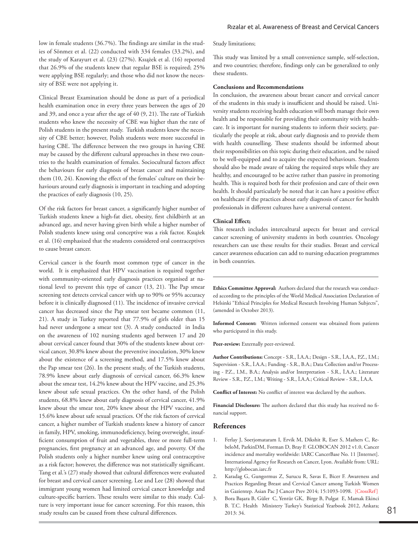low in female students (36.7%). The findings are similar in the studies of Sönmez et al. (22) conducted with 334 females (33.2%), and the study of Karayurt et al. (23) (27%). Ksıążek et al. (16) reported that 26.9% of the students knew that regular BSE is required; 25% were applying BSE regularly; and those who did not know the necessity of BSE were not applying it.

Clinical Breast Examination should be done as part of a periodical health examination once in every three years between the ages of 20 and 39, and once a year after the age of 40 (9, 21). The rate of Turkish students who knew the necessity of CBE was higher than the rate of Polish students in the present study. Turkish students knew the necessity of CBE better; however, Polish students were more successful in having CBE. The difference between the two groups in having CBE may be caused by the different cultural approaches in these two countries to the health examination of females. Sociocultural factors affect the behaviours for early diagnosis of breast cancer and maintaining them (10, 24). Knowing the effect of the females' culture on their behaviours around early diagnosis is important in teaching and adopting the practices of early diagnosis (10, 25).

Of the risk factors for breast cancer, a significantly higher number of Turkish students knew a high-fat diet, obesity, first childbirth at an advanced age, and never having given birth while a higher number of Polish students knew using oral conceptive was a risk factor. Ksıążek et al. (16) emphasized that the students considered oral contraceptives to cause breast cancer.

Cervical cancer is the fourth most common type of cancer in the world. It is emphasized that HPV vaccination is required together with community-oriented early diagnosis practices organised at national level to prevent this type of cancer (13, 21). The Pap smear screening test detects cervical cancer with up to 90% or 95% accuracy before it is clinically diagnosed (11). The incidence of invasive cervical cancer has decreased since the Pap smear test became common (11, 21). A study in Turkey reported that 77.9% of girls older than 15 had never undergone a smear test (3). A study conducted in India on the awareness of 102 nursing students aged between 17 and 20 about cervical cancer found that 30% of the students knew about cervical cancer, 30.8% knew about the preventive inoculation, 30% knew about the existence of a screening method, and 17.5% knew about the Pap smear test (26). In the present study, of the Turkish students, 78.9% knew about early diagnosis of cervical cancer, 66.3% knew about the smear test, 14.2% knew about the HPV vaccine, and 25.3% knew about safe sexual practices. On the other hand, of the Polish students, 68.8% knew about early diagnosis of cervical cancer, 41.9% knew about the smear test, 20% knew about the HPV vaccine, and 15.6% knew about safe sexual practices. Of the risk factors of cervical cancer, a higher number of Turkish students knew a history of cancer in family, HPV, smoking, immunodeficiency, being overweight, insufficient consumption of fruit and vegetables, three or more full-term pregnancies, first pregnancy at an advanced age, and poverty. Of the Polish students only a higher number knew using oral contraceptive as a risk factor; however, the difference was not statistically significant. Tang et al.'s (27) study showed that cultural differences were evaluated for breast and cervical cancer screening. Lee and Lee (28) showed that immigrant young women had limited cervical cancer knowledge and culture-specific barriers. These results were similar to this study. Culture is very important issue for cancer screening. For this reason, this study results can be caused from these cultural differences.

Study limitations;

This study was limited by a small convenience sample, self-selection, and two countries; therefore, findings only can be generalized to only these students.

#### **Conclusions and Recommendations**

In conclusion, the awareness about breast cancer and cervical cancer of the students in this study is insufficient and should be raised. University students receiving health education will both manage their own health and be responsible for providing their community with healthcare. It is important for nursing students to inform their society, particularly the people at risk, about early diagnosis and to provide them with health counselling. These students should be informed about their responsibilities on this topic during their education, and be raised to be well-equipped and to acquire the expected behaviours. Students should also be made aware of taking the required steps while they are healthy, and encouraged to be active rather than passive in promoting health. This is required both for their profession and care of their own health. It should particularly be noted that it can have a positive effect on healthcare if the practices about early diagnosis of cancer for health professionals in different cultures have a universal content.

#### **Clinical Effect;**

This research includes intercultural aspects for breast and cervical cancer screening of university students in both countries. Oncology researchers can use these results for their studies. Breast and cervical cancer awareness education can add to nursing education programmes in both countries.

**Ethics Committee Approval:** Authors declared that the research was conducted according to the principles of the World Medical Association Declaration of Helsinki "Ethical Principles for Medical Research Involving Human Subjects", (amended in October 2013).

**Informed Consent:** Written informed consent was obtained from patients who participated in this study.

Peer-review: Externally peer-reviewed.

**Author Contributions:** Concept - S.R., İ.A.A.; Design - S.R., İ.A.A., P.Z., I.M.; Supervision - S.R., İ.A.A.; Funding - S.R., B.A.; Data Collection and/or Processing - P.Z., I.M., B.A.; Analysis and/or Interpretation - S.R., İ.A.A.; Literature Review - S.R., P.Z., I.M.; Writing - S.R., İ.A.A.; Critical Review - S.R., İ.A.A.

**Conflict of Interest:** No conflict of interest was declared by the authors.

**Financial Disclosure:** The authors declared that this study has received no financial support.

## **References**

- 1. Ferlay J, Soerjomataram I, Ervik M, Dikshit R, Eser S, Mathers C, RebeloM, ParkinDM, Forman D, Bray F. GLOBOCAN 2012 v1.0, Cancer incidence and mortality worldwide: IARC CancerBase No. 11 [Internet]. International Agency for Research on Cancer, Lyon. Available from: URL: http://globocan.iarc.fr
- 2. Karadag G, Gungormus Z, Surucu R, Savas E, Bicer F. Awareness and Practices Regarding Breast and Cervical Cancer among Turkish Women in Gazientep. Asian Pac J Cancer Prev 2014; 15:1093-1098. [[CrossRef\]](https://doi.org/10.7314/APJCP.2014.15.3.1093)
- 3. Bora Başara B, Güler C, Yentür GK, Birge B, Pulgat E, Mamak Ekinci B. T.C. Health Ministery Turkey's Statistical Yearbook 2012, Ankara; 81